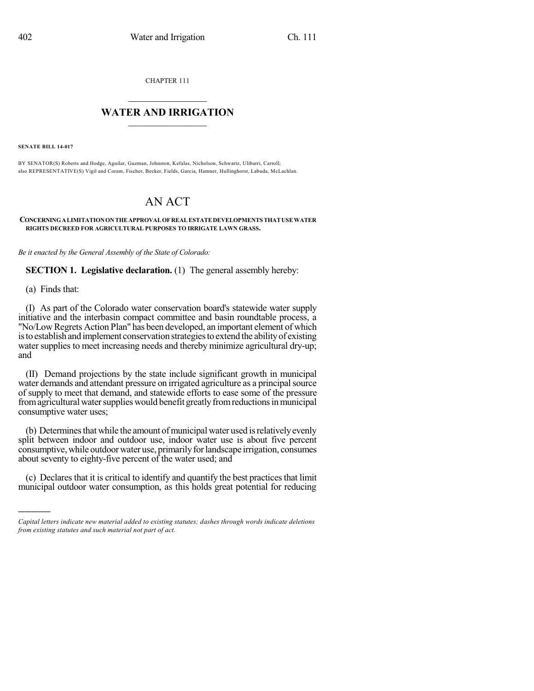CHAPTER 111

## $\mathcal{L}_\text{max}$  . The set of the set of the set of the set of the set of the set of the set of the set of the set of the set of the set of the set of the set of the set of the set of the set of the set of the set of the set **WATER AND IRRIGATION**  $\_$   $\_$

**SENATE BILL 14-017**

BY SENATOR(S) Roberts and Hodge, Aguilar, Guzman, Johnston, Kefalas, Nicholson, Schwartz, Ulibarri, Carroll; also REPRESENTATIVE(S) Vigil and Coram, Fischer, Becker, Fields, Garcia, Hamner, Hullinghorst, Labuda, McLachlan.

## AN ACT

## **CONCERNINGALIMITATIONONTHEAPPROVALOFREALESTATEDEVELOPMENTS THATUSEWATER RIGHTS DECREED FOR AGRICULTURAL PURPOSES TO IRRIGATE LAWN GRASS.**

*Be it enacted by the General Assembly of the State of Colorado:*

**SECTION 1. Legislative declaration.** (1) The general assembly hereby:

(a) Finds that:

)))))

(I) As part of the Colorado water conservation board's statewide water supply initiative and the interbasin compact committee and basin roundtable process, a "No/Low Regrets Action Plan" has been developed, an important element of which isto establish and implement conservation strategiesto extend the abilityof existing water supplies to meet increasing needs and thereby minimize agricultural dry-up; and

(II) Demand projections by the state include significant growth in municipal water demands and attendant pressure on irrigated agriculture as a principal source of supply to meet that demand, and statewide efforts to ease some of the pressure from agricultural water supplies would benefit greatly from reductions in municipal consumptive water uses;

(b) Determines that while the amount of municipal water used is relatively evenly split between indoor and outdoor use, indoor water use is about five percent consumptive, while outdoor water use, primarily for landscape irrigation, consumes about seventy to eighty-five percent of the water used; and

(c) Declares that it is critical to identify and quantify the best practicesthat limit municipal outdoor water consumption, as this holds great potential for reducing

*Capital letters indicate new material added to existing statutes; dashes through words indicate deletions from existing statutes and such material not part of act.*